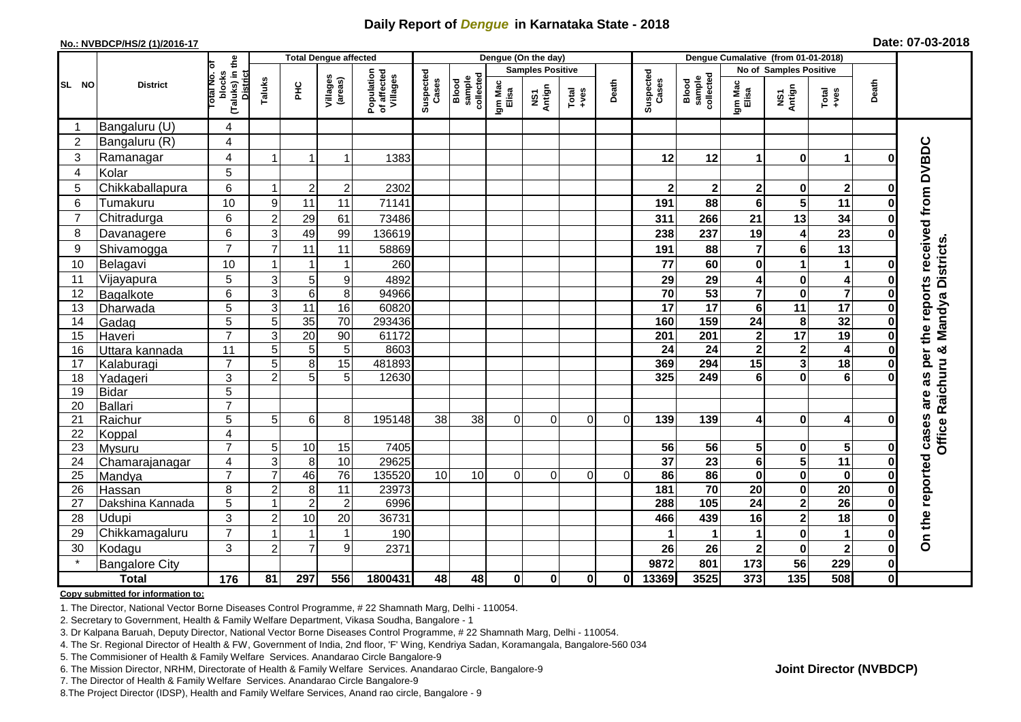## **Daily Report of** *Dengue* **in Karnataka State - 2018**

#### **No.: NVBDCP/HS/2 (1)/2016-17**

|  | Date: 07-03-2018 |  |
|--|------------------|--|
|--|------------------|--|

| (Taluks) in the<br>District<br>lotal No. ol<br><b>Samples Positive</b><br>No of Samples Positive<br>Population<br>of affected<br>Villages<br>Suspected<br>Cases<br>Suspected<br>blocks<br>Blood<br>sample<br>collected<br>sample<br>collected<br>Villages<br>(areas)<br>Taluks<br>Cases<br>Blood<br>Death<br>Death<br>Igm Mac<br>Elisa<br>Igm Mac<br>Elisa<br><b>District</b><br>$rac{C}{\pi}$<br>NS1<br>Antign<br>NS1<br>Antign<br>$Total$<br>Total<br>$+ve$ s<br>Bangaluru (U)<br>4<br>Bangaluru (R)<br>$\overline{2}$<br>$\overline{4}$<br>per the reports received from DVBDC<br>3<br>Ramanagar<br>4<br>12<br>$\bf{0}$<br>1383<br>12<br>$\blacktriangleleft$<br>1<br>1<br>U<br>5<br>Kolar<br>4<br>6<br>Chikkaballapura<br>$\overline{2}$<br>5<br>$\mathbf 2$<br>2302<br>$\mathbf{2}$<br>$\overline{\mathbf{2}}$<br>$\mathbf{2}$<br>$\mathbf{2}$<br>0<br>-1<br>$\bf{0}$<br>$\overline{\mathbf{5}}$<br>Tumakuru<br>10<br>88<br>6<br>9<br>11<br>11<br>71141<br>191<br>6<br>11<br>ŋ<br>13<br>29<br>$\overline{7}$<br>Chitradurga<br>6<br>$\overline{2}$<br>266<br>34<br>61<br>311<br>21<br>73486<br>3<br>23<br>49<br>6<br>237<br>19<br>4<br>8<br>99<br>136619<br>Davanagere<br>238<br>ŋ<br>& Mandya Districts<br>$\overline{7}$<br>$6\phantom{1}$<br>9<br>Shivamogga<br>$\overline{7}$<br>11<br>7<br>13<br>191<br>88<br>11<br>58869<br>10<br>1<br>10<br>Belagavi<br>260<br>77<br>60<br>0<br>$\mathbf{1}$<br>1<br>1<br>O<br>5<br>3<br>5<br>9<br>29<br>$\pmb{0}$<br>11<br>Vijayapura<br>4892<br>29<br>4<br>$\overline{\mathbf{4}}$<br>0<br>$\overline{\mathbf{7}}$<br>$\overline{\mathbf{7}}$<br>$\overline{3}$<br>$\overline{6}$<br>53<br>8<br>94966<br>70<br>$\mathbf 0$<br>6<br>12<br>Bagalkote<br>0<br>17<br>5<br>3<br>$\overline{11}$<br>60820<br>$\overline{17}$<br>$\overline{11}$<br>16<br>17<br>6<br>13<br>Dharwada<br>0<br>$\overline{5}$<br>35<br>24<br>32<br>5<br>$\overline{70}$<br>293436<br>159<br>8<br>160<br>14<br>Gadag<br>O<br>$\overline{7}$<br>$\overline{17}$<br>3<br>20<br>61172<br>19<br>90<br>201<br>201<br>$\mathbf 2$<br>15<br>Haveri<br>O<br>$\overline{\mathbf{2}}$<br>5<br>5<br>5<br>8603<br>$\mathbf{2}$<br>$\overline{\mathbf{4}}$<br>11<br>24<br>24<br>16<br>Uttara kannada<br>O<br>Office Raichuru<br>$\overline{7}$<br>5<br>8<br>15<br>3<br>$\overline{18}$<br>15<br>481893<br>369<br>294<br>17<br>Kalaburagi<br>O<br>as<br>$\overline{5}$<br>3<br>$\mathbf{0}$<br>6<br>18<br>$\overline{2}$<br>5<br>12630<br>325<br>249<br>6<br>Yadageri<br>5<br>19<br><b>Bidar</b><br>are<br>$\overline{7}$<br>Ballari<br>20<br>On the reported cases<br>5<br>5<br>6<br>8<br>195148<br>38<br>38<br>21<br>Raichur<br>$\Omega$<br>$\mathbf 0$<br>0<br>$\overline{0}$<br>139<br>139<br>$\mathbf 0$<br>4<br>4<br>22<br>4<br>Koppal<br>$\overline{7}$<br>5<br>10<br>7405<br>56<br>5<br>5<br>23<br>15<br>56<br>$\mathbf 0$<br>0<br>Mysuru<br>$\overline{\mathbf{5}}$<br>10<br>29625<br>$\overline{37}$<br>23<br>$6\phantom{a}$<br>$\overline{11}$<br>3<br>8<br>24<br>4<br>Chamarajanagar<br>$\bf{0}$<br>$\overline{7}$<br>46<br>76<br>86<br>$\overline{\mathbf{0}}$<br>$\overline{7}$<br>135520<br>86<br>$\mathbf 0$<br>25<br>10<br>10<br>$\Omega$<br>$\mathbf 0$<br>Mandya<br>$\Omega$<br>$\Omega$<br>$\Omega$<br>0<br>181<br>70<br>$\mathbf 0$<br>$\overline{20}$<br>8<br>$\overline{2}$<br>8<br>11<br>23973<br>20<br>26<br>Hassan<br>0<br>$\overline{2}$<br>$\overline{26}$<br>$\overline{2}$<br>288<br>105<br>$\overline{24}$<br>5<br>$\overline{2}$<br>6996<br>1<br>27<br>Dakshina Kannada<br>$\bf{0}$<br>3<br>$\overline{\mathbf{c}}$<br>$\overline{18}$<br>10<br>20<br>Udupi<br>28<br>$\overline{2}$<br>439<br>16<br>36731<br>466<br>ŋ<br>$\overline{7}$<br>$\mathbf 0$<br>29<br>Chikkamagaluru<br>190<br>1<br>1<br>1<br>O<br>3<br>9<br>30<br>$\overline{c}$<br>$\overline{7}$<br>$\pmb{0}$<br>$\boldsymbol{2}$<br>Kodagu<br>26<br>$\overline{\mathbf{2}}$<br>2371<br>26<br>0<br>$\overline{56}$<br><b>Bangalore City</b><br>173<br>229<br>9872<br>801<br>$\mathbf{0}$<br>$\frac{1}{176}$<br>48<br>$\mathbf 0$<br>3525<br>373<br>$\overline{135}$<br>508<br><b>Total</b><br>81<br>297<br>556<br>1800431<br>48<br>$\mathbf{0}$<br>13369<br>$\mathbf{0}$<br>$\mathbf{0}$<br>Οl |       |  | <b>Total Dengue affected</b> |  |  | Dengue (On the day) |  |  | Dengue Cumalative (from 01-01-2018) |  |  |
|--------------------------------------------------------------------------------------------------------------------------------------------------------------------------------------------------------------------------------------------------------------------------------------------------------------------------------------------------------------------------------------------------------------------------------------------------------------------------------------------------------------------------------------------------------------------------------------------------------------------------------------------------------------------------------------------------------------------------------------------------------------------------------------------------------------------------------------------------------------------------------------------------------------------------------------------------------------------------------------------------------------------------------------------------------------------------------------------------------------------------------------------------------------------------------------------------------------------------------------------------------------------------------------------------------------------------------------------------------------------------------------------------------------------------------------------------------------------------------------------------------------------------------------------------------------------------------------------------------------------------------------------------------------------------------------------------------------------------------------------------------------------------------------------------------------------------------------------------------------------------------------------------------------------------------------------------------------------------------------------------------------------------------------------------------------------------------------------------------------------------------------------------------------------------------------------------------------------------------------------------------------------------------------------------------------------------------------------------------------------------------------------------------------------------------------------------------------------------------------------------------------------------------------------------------------------------------------------------------------------------------------------------------------------------------------------------------------------------------------------------------------------------------------------------------------------------------------------------------------------------------------------------------------------------------------------------------------------------------------------------------------------------------------------------------------------------------------------------------------------------------------------------------------------------------------------------------------------------------------------------------------------------------------------------------------------------------------------------------------------------------------------------------------------------------------------------------------------------------------------------------------------------------------------------------------------------------------------------------------------------------------------------------------------------------------------------------------------------------------------------------------------------------------------------------------------------------------------------------------------------------------------------------------------------------------------------------------------------------------------------------------------------------------------------------------------------------------------------------------------------------------------------------------------------------------------------|-------|--|------------------------------|--|--|---------------------|--|--|-------------------------------------|--|--|
|                                                                                                                                                                                                                                                                                                                                                                                                                                                                                                                                                                                                                                                                                                                                                                                                                                                                                                                                                                                                                                                                                                                                                                                                                                                                                                                                                                                                                                                                                                                                                                                                                                                                                                                                                                                                                                                                                                                                                                                                                                                                                                                                                                                                                                                                                                                                                                                                                                                                                                                                                                                                                                                                                                                                                                                                                                                                                                                                                                                                                                                                                                                                                                                                                                                                                                                                                                                                                                                                                                                                                                                                                                                                                                                                                                                                                                                                                                                                                                                                                                                                                                                                                                                                  |       |  |                              |  |  |                     |  |  |                                     |  |  |
|                                                                                                                                                                                                                                                                                                                                                                                                                                                                                                                                                                                                                                                                                                                                                                                                                                                                                                                                                                                                                                                                                                                                                                                                                                                                                                                                                                                                                                                                                                                                                                                                                                                                                                                                                                                                                                                                                                                                                                                                                                                                                                                                                                                                                                                                                                                                                                                                                                                                                                                                                                                                                                                                                                                                                                                                                                                                                                                                                                                                                                                                                                                                                                                                                                                                                                                                                                                                                                                                                                                                                                                                                                                                                                                                                                                                                                                                                                                                                                                                                                                                                                                                                                                                  | SL NO |  |                              |  |  |                     |  |  |                                     |  |  |
|                                                                                                                                                                                                                                                                                                                                                                                                                                                                                                                                                                                                                                                                                                                                                                                                                                                                                                                                                                                                                                                                                                                                                                                                                                                                                                                                                                                                                                                                                                                                                                                                                                                                                                                                                                                                                                                                                                                                                                                                                                                                                                                                                                                                                                                                                                                                                                                                                                                                                                                                                                                                                                                                                                                                                                                                                                                                                                                                                                                                                                                                                                                                                                                                                                                                                                                                                                                                                                                                                                                                                                                                                                                                                                                                                                                                                                                                                                                                                                                                                                                                                                                                                                                                  |       |  |                              |  |  |                     |  |  |                                     |  |  |
|                                                                                                                                                                                                                                                                                                                                                                                                                                                                                                                                                                                                                                                                                                                                                                                                                                                                                                                                                                                                                                                                                                                                                                                                                                                                                                                                                                                                                                                                                                                                                                                                                                                                                                                                                                                                                                                                                                                                                                                                                                                                                                                                                                                                                                                                                                                                                                                                                                                                                                                                                                                                                                                                                                                                                                                                                                                                                                                                                                                                                                                                                                                                                                                                                                                                                                                                                                                                                                                                                                                                                                                                                                                                                                                                                                                                                                                                                                                                                                                                                                                                                                                                                                                                  |       |  |                              |  |  |                     |  |  |                                     |  |  |
|                                                                                                                                                                                                                                                                                                                                                                                                                                                                                                                                                                                                                                                                                                                                                                                                                                                                                                                                                                                                                                                                                                                                                                                                                                                                                                                                                                                                                                                                                                                                                                                                                                                                                                                                                                                                                                                                                                                                                                                                                                                                                                                                                                                                                                                                                                                                                                                                                                                                                                                                                                                                                                                                                                                                                                                                                                                                                                                                                                                                                                                                                                                                                                                                                                                                                                                                                                                                                                                                                                                                                                                                                                                                                                                                                                                                                                                                                                                                                                                                                                                                                                                                                                                                  |       |  |                              |  |  |                     |  |  |                                     |  |  |
|                                                                                                                                                                                                                                                                                                                                                                                                                                                                                                                                                                                                                                                                                                                                                                                                                                                                                                                                                                                                                                                                                                                                                                                                                                                                                                                                                                                                                                                                                                                                                                                                                                                                                                                                                                                                                                                                                                                                                                                                                                                                                                                                                                                                                                                                                                                                                                                                                                                                                                                                                                                                                                                                                                                                                                                                                                                                                                                                                                                                                                                                                                                                                                                                                                                                                                                                                                                                                                                                                                                                                                                                                                                                                                                                                                                                                                                                                                                                                                                                                                                                                                                                                                                                  |       |  |                              |  |  |                     |  |  |                                     |  |  |
|                                                                                                                                                                                                                                                                                                                                                                                                                                                                                                                                                                                                                                                                                                                                                                                                                                                                                                                                                                                                                                                                                                                                                                                                                                                                                                                                                                                                                                                                                                                                                                                                                                                                                                                                                                                                                                                                                                                                                                                                                                                                                                                                                                                                                                                                                                                                                                                                                                                                                                                                                                                                                                                                                                                                                                                                                                                                                                                                                                                                                                                                                                                                                                                                                                                                                                                                                                                                                                                                                                                                                                                                                                                                                                                                                                                                                                                                                                                                                                                                                                                                                                                                                                                                  |       |  |                              |  |  |                     |  |  |                                     |  |  |
|                                                                                                                                                                                                                                                                                                                                                                                                                                                                                                                                                                                                                                                                                                                                                                                                                                                                                                                                                                                                                                                                                                                                                                                                                                                                                                                                                                                                                                                                                                                                                                                                                                                                                                                                                                                                                                                                                                                                                                                                                                                                                                                                                                                                                                                                                                                                                                                                                                                                                                                                                                                                                                                                                                                                                                                                                                                                                                                                                                                                                                                                                                                                                                                                                                                                                                                                                                                                                                                                                                                                                                                                                                                                                                                                                                                                                                                                                                                                                                                                                                                                                                                                                                                                  |       |  |                              |  |  |                     |  |  |                                     |  |  |
|                                                                                                                                                                                                                                                                                                                                                                                                                                                                                                                                                                                                                                                                                                                                                                                                                                                                                                                                                                                                                                                                                                                                                                                                                                                                                                                                                                                                                                                                                                                                                                                                                                                                                                                                                                                                                                                                                                                                                                                                                                                                                                                                                                                                                                                                                                                                                                                                                                                                                                                                                                                                                                                                                                                                                                                                                                                                                                                                                                                                                                                                                                                                                                                                                                                                                                                                                                                                                                                                                                                                                                                                                                                                                                                                                                                                                                                                                                                                                                                                                                                                                                                                                                                                  |       |  |                              |  |  |                     |  |  |                                     |  |  |
|                                                                                                                                                                                                                                                                                                                                                                                                                                                                                                                                                                                                                                                                                                                                                                                                                                                                                                                                                                                                                                                                                                                                                                                                                                                                                                                                                                                                                                                                                                                                                                                                                                                                                                                                                                                                                                                                                                                                                                                                                                                                                                                                                                                                                                                                                                                                                                                                                                                                                                                                                                                                                                                                                                                                                                                                                                                                                                                                                                                                                                                                                                                                                                                                                                                                                                                                                                                                                                                                                                                                                                                                                                                                                                                                                                                                                                                                                                                                                                                                                                                                                                                                                                                                  |       |  |                              |  |  |                     |  |  |                                     |  |  |
|                                                                                                                                                                                                                                                                                                                                                                                                                                                                                                                                                                                                                                                                                                                                                                                                                                                                                                                                                                                                                                                                                                                                                                                                                                                                                                                                                                                                                                                                                                                                                                                                                                                                                                                                                                                                                                                                                                                                                                                                                                                                                                                                                                                                                                                                                                                                                                                                                                                                                                                                                                                                                                                                                                                                                                                                                                                                                                                                                                                                                                                                                                                                                                                                                                                                                                                                                                                                                                                                                                                                                                                                                                                                                                                                                                                                                                                                                                                                                                                                                                                                                                                                                                                                  |       |  |                              |  |  |                     |  |  |                                     |  |  |
|                                                                                                                                                                                                                                                                                                                                                                                                                                                                                                                                                                                                                                                                                                                                                                                                                                                                                                                                                                                                                                                                                                                                                                                                                                                                                                                                                                                                                                                                                                                                                                                                                                                                                                                                                                                                                                                                                                                                                                                                                                                                                                                                                                                                                                                                                                                                                                                                                                                                                                                                                                                                                                                                                                                                                                                                                                                                                                                                                                                                                                                                                                                                                                                                                                                                                                                                                                                                                                                                                                                                                                                                                                                                                                                                                                                                                                                                                                                                                                                                                                                                                                                                                                                                  |       |  |                              |  |  |                     |  |  |                                     |  |  |
|                                                                                                                                                                                                                                                                                                                                                                                                                                                                                                                                                                                                                                                                                                                                                                                                                                                                                                                                                                                                                                                                                                                                                                                                                                                                                                                                                                                                                                                                                                                                                                                                                                                                                                                                                                                                                                                                                                                                                                                                                                                                                                                                                                                                                                                                                                                                                                                                                                                                                                                                                                                                                                                                                                                                                                                                                                                                                                                                                                                                                                                                                                                                                                                                                                                                                                                                                                                                                                                                                                                                                                                                                                                                                                                                                                                                                                                                                                                                                                                                                                                                                                                                                                                                  |       |  |                              |  |  |                     |  |  |                                     |  |  |
|                                                                                                                                                                                                                                                                                                                                                                                                                                                                                                                                                                                                                                                                                                                                                                                                                                                                                                                                                                                                                                                                                                                                                                                                                                                                                                                                                                                                                                                                                                                                                                                                                                                                                                                                                                                                                                                                                                                                                                                                                                                                                                                                                                                                                                                                                                                                                                                                                                                                                                                                                                                                                                                                                                                                                                                                                                                                                                                                                                                                                                                                                                                                                                                                                                                                                                                                                                                                                                                                                                                                                                                                                                                                                                                                                                                                                                                                                                                                                                                                                                                                                                                                                                                                  |       |  |                              |  |  |                     |  |  |                                     |  |  |
|                                                                                                                                                                                                                                                                                                                                                                                                                                                                                                                                                                                                                                                                                                                                                                                                                                                                                                                                                                                                                                                                                                                                                                                                                                                                                                                                                                                                                                                                                                                                                                                                                                                                                                                                                                                                                                                                                                                                                                                                                                                                                                                                                                                                                                                                                                                                                                                                                                                                                                                                                                                                                                                                                                                                                                                                                                                                                                                                                                                                                                                                                                                                                                                                                                                                                                                                                                                                                                                                                                                                                                                                                                                                                                                                                                                                                                                                                                                                                                                                                                                                                                                                                                                                  |       |  |                              |  |  |                     |  |  |                                     |  |  |
|                                                                                                                                                                                                                                                                                                                                                                                                                                                                                                                                                                                                                                                                                                                                                                                                                                                                                                                                                                                                                                                                                                                                                                                                                                                                                                                                                                                                                                                                                                                                                                                                                                                                                                                                                                                                                                                                                                                                                                                                                                                                                                                                                                                                                                                                                                                                                                                                                                                                                                                                                                                                                                                                                                                                                                                                                                                                                                                                                                                                                                                                                                                                                                                                                                                                                                                                                                                                                                                                                                                                                                                                                                                                                                                                                                                                                                                                                                                                                                                                                                                                                                                                                                                                  |       |  |                              |  |  |                     |  |  |                                     |  |  |
|                                                                                                                                                                                                                                                                                                                                                                                                                                                                                                                                                                                                                                                                                                                                                                                                                                                                                                                                                                                                                                                                                                                                                                                                                                                                                                                                                                                                                                                                                                                                                                                                                                                                                                                                                                                                                                                                                                                                                                                                                                                                                                                                                                                                                                                                                                                                                                                                                                                                                                                                                                                                                                                                                                                                                                                                                                                                                                                                                                                                                                                                                                                                                                                                                                                                                                                                                                                                                                                                                                                                                                                                                                                                                                                                                                                                                                                                                                                                                                                                                                                                                                                                                                                                  |       |  |                              |  |  |                     |  |  |                                     |  |  |
|                                                                                                                                                                                                                                                                                                                                                                                                                                                                                                                                                                                                                                                                                                                                                                                                                                                                                                                                                                                                                                                                                                                                                                                                                                                                                                                                                                                                                                                                                                                                                                                                                                                                                                                                                                                                                                                                                                                                                                                                                                                                                                                                                                                                                                                                                                                                                                                                                                                                                                                                                                                                                                                                                                                                                                                                                                                                                                                                                                                                                                                                                                                                                                                                                                                                                                                                                                                                                                                                                                                                                                                                                                                                                                                                                                                                                                                                                                                                                                                                                                                                                                                                                                                                  |       |  |                              |  |  |                     |  |  |                                     |  |  |
|                                                                                                                                                                                                                                                                                                                                                                                                                                                                                                                                                                                                                                                                                                                                                                                                                                                                                                                                                                                                                                                                                                                                                                                                                                                                                                                                                                                                                                                                                                                                                                                                                                                                                                                                                                                                                                                                                                                                                                                                                                                                                                                                                                                                                                                                                                                                                                                                                                                                                                                                                                                                                                                                                                                                                                                                                                                                                                                                                                                                                                                                                                                                                                                                                                                                                                                                                                                                                                                                                                                                                                                                                                                                                                                                                                                                                                                                                                                                                                                                                                                                                                                                                                                                  |       |  |                              |  |  |                     |  |  |                                     |  |  |
|                                                                                                                                                                                                                                                                                                                                                                                                                                                                                                                                                                                                                                                                                                                                                                                                                                                                                                                                                                                                                                                                                                                                                                                                                                                                                                                                                                                                                                                                                                                                                                                                                                                                                                                                                                                                                                                                                                                                                                                                                                                                                                                                                                                                                                                                                                                                                                                                                                                                                                                                                                                                                                                                                                                                                                                                                                                                                                                                                                                                                                                                                                                                                                                                                                                                                                                                                                                                                                                                                                                                                                                                                                                                                                                                                                                                                                                                                                                                                                                                                                                                                                                                                                                                  |       |  |                              |  |  |                     |  |  |                                     |  |  |
|                                                                                                                                                                                                                                                                                                                                                                                                                                                                                                                                                                                                                                                                                                                                                                                                                                                                                                                                                                                                                                                                                                                                                                                                                                                                                                                                                                                                                                                                                                                                                                                                                                                                                                                                                                                                                                                                                                                                                                                                                                                                                                                                                                                                                                                                                                                                                                                                                                                                                                                                                                                                                                                                                                                                                                                                                                                                                                                                                                                                                                                                                                                                                                                                                                                                                                                                                                                                                                                                                                                                                                                                                                                                                                                                                                                                                                                                                                                                                                                                                                                                                                                                                                                                  |       |  |                              |  |  |                     |  |  |                                     |  |  |
|                                                                                                                                                                                                                                                                                                                                                                                                                                                                                                                                                                                                                                                                                                                                                                                                                                                                                                                                                                                                                                                                                                                                                                                                                                                                                                                                                                                                                                                                                                                                                                                                                                                                                                                                                                                                                                                                                                                                                                                                                                                                                                                                                                                                                                                                                                                                                                                                                                                                                                                                                                                                                                                                                                                                                                                                                                                                                                                                                                                                                                                                                                                                                                                                                                                                                                                                                                                                                                                                                                                                                                                                                                                                                                                                                                                                                                                                                                                                                                                                                                                                                                                                                                                                  |       |  |                              |  |  |                     |  |  |                                     |  |  |
|                                                                                                                                                                                                                                                                                                                                                                                                                                                                                                                                                                                                                                                                                                                                                                                                                                                                                                                                                                                                                                                                                                                                                                                                                                                                                                                                                                                                                                                                                                                                                                                                                                                                                                                                                                                                                                                                                                                                                                                                                                                                                                                                                                                                                                                                                                                                                                                                                                                                                                                                                                                                                                                                                                                                                                                                                                                                                                                                                                                                                                                                                                                                                                                                                                                                                                                                                                                                                                                                                                                                                                                                                                                                                                                                                                                                                                                                                                                                                                                                                                                                                                                                                                                                  |       |  |                              |  |  |                     |  |  |                                     |  |  |
|                                                                                                                                                                                                                                                                                                                                                                                                                                                                                                                                                                                                                                                                                                                                                                                                                                                                                                                                                                                                                                                                                                                                                                                                                                                                                                                                                                                                                                                                                                                                                                                                                                                                                                                                                                                                                                                                                                                                                                                                                                                                                                                                                                                                                                                                                                                                                                                                                                                                                                                                                                                                                                                                                                                                                                                                                                                                                                                                                                                                                                                                                                                                                                                                                                                                                                                                                                                                                                                                                                                                                                                                                                                                                                                                                                                                                                                                                                                                                                                                                                                                                                                                                                                                  |       |  |                              |  |  |                     |  |  |                                     |  |  |
|                                                                                                                                                                                                                                                                                                                                                                                                                                                                                                                                                                                                                                                                                                                                                                                                                                                                                                                                                                                                                                                                                                                                                                                                                                                                                                                                                                                                                                                                                                                                                                                                                                                                                                                                                                                                                                                                                                                                                                                                                                                                                                                                                                                                                                                                                                                                                                                                                                                                                                                                                                                                                                                                                                                                                                                                                                                                                                                                                                                                                                                                                                                                                                                                                                                                                                                                                                                                                                                                                                                                                                                                                                                                                                                                                                                                                                                                                                                                                                                                                                                                                                                                                                                                  |       |  |                              |  |  |                     |  |  |                                     |  |  |
|                                                                                                                                                                                                                                                                                                                                                                                                                                                                                                                                                                                                                                                                                                                                                                                                                                                                                                                                                                                                                                                                                                                                                                                                                                                                                                                                                                                                                                                                                                                                                                                                                                                                                                                                                                                                                                                                                                                                                                                                                                                                                                                                                                                                                                                                                                                                                                                                                                                                                                                                                                                                                                                                                                                                                                                                                                                                                                                                                                                                                                                                                                                                                                                                                                                                                                                                                                                                                                                                                                                                                                                                                                                                                                                                                                                                                                                                                                                                                                                                                                                                                                                                                                                                  |       |  |                              |  |  |                     |  |  |                                     |  |  |
|                                                                                                                                                                                                                                                                                                                                                                                                                                                                                                                                                                                                                                                                                                                                                                                                                                                                                                                                                                                                                                                                                                                                                                                                                                                                                                                                                                                                                                                                                                                                                                                                                                                                                                                                                                                                                                                                                                                                                                                                                                                                                                                                                                                                                                                                                                                                                                                                                                                                                                                                                                                                                                                                                                                                                                                                                                                                                                                                                                                                                                                                                                                                                                                                                                                                                                                                                                                                                                                                                                                                                                                                                                                                                                                                                                                                                                                                                                                                                                                                                                                                                                                                                                                                  |       |  |                              |  |  |                     |  |  |                                     |  |  |
|                                                                                                                                                                                                                                                                                                                                                                                                                                                                                                                                                                                                                                                                                                                                                                                                                                                                                                                                                                                                                                                                                                                                                                                                                                                                                                                                                                                                                                                                                                                                                                                                                                                                                                                                                                                                                                                                                                                                                                                                                                                                                                                                                                                                                                                                                                                                                                                                                                                                                                                                                                                                                                                                                                                                                                                                                                                                                                                                                                                                                                                                                                                                                                                                                                                                                                                                                                                                                                                                                                                                                                                                                                                                                                                                                                                                                                                                                                                                                                                                                                                                                                                                                                                                  |       |  |                              |  |  |                     |  |  |                                     |  |  |
|                                                                                                                                                                                                                                                                                                                                                                                                                                                                                                                                                                                                                                                                                                                                                                                                                                                                                                                                                                                                                                                                                                                                                                                                                                                                                                                                                                                                                                                                                                                                                                                                                                                                                                                                                                                                                                                                                                                                                                                                                                                                                                                                                                                                                                                                                                                                                                                                                                                                                                                                                                                                                                                                                                                                                                                                                                                                                                                                                                                                                                                                                                                                                                                                                                                                                                                                                                                                                                                                                                                                                                                                                                                                                                                                                                                                                                                                                                                                                                                                                                                                                                                                                                                                  |       |  |                              |  |  |                     |  |  |                                     |  |  |
|                                                                                                                                                                                                                                                                                                                                                                                                                                                                                                                                                                                                                                                                                                                                                                                                                                                                                                                                                                                                                                                                                                                                                                                                                                                                                                                                                                                                                                                                                                                                                                                                                                                                                                                                                                                                                                                                                                                                                                                                                                                                                                                                                                                                                                                                                                                                                                                                                                                                                                                                                                                                                                                                                                                                                                                                                                                                                                                                                                                                                                                                                                                                                                                                                                                                                                                                                                                                                                                                                                                                                                                                                                                                                                                                                                                                                                                                                                                                                                                                                                                                                                                                                                                                  |       |  |                              |  |  |                     |  |  |                                     |  |  |
|                                                                                                                                                                                                                                                                                                                                                                                                                                                                                                                                                                                                                                                                                                                                                                                                                                                                                                                                                                                                                                                                                                                                                                                                                                                                                                                                                                                                                                                                                                                                                                                                                                                                                                                                                                                                                                                                                                                                                                                                                                                                                                                                                                                                                                                                                                                                                                                                                                                                                                                                                                                                                                                                                                                                                                                                                                                                                                                                                                                                                                                                                                                                                                                                                                                                                                                                                                                                                                                                                                                                                                                                                                                                                                                                                                                                                                                                                                                                                                                                                                                                                                                                                                                                  |       |  |                              |  |  |                     |  |  |                                     |  |  |
|                                                                                                                                                                                                                                                                                                                                                                                                                                                                                                                                                                                                                                                                                                                                                                                                                                                                                                                                                                                                                                                                                                                                                                                                                                                                                                                                                                                                                                                                                                                                                                                                                                                                                                                                                                                                                                                                                                                                                                                                                                                                                                                                                                                                                                                                                                                                                                                                                                                                                                                                                                                                                                                                                                                                                                                                                                                                                                                                                                                                                                                                                                                                                                                                                                                                                                                                                                                                                                                                                                                                                                                                                                                                                                                                                                                                                                                                                                                                                                                                                                                                                                                                                                                                  |       |  |                              |  |  |                     |  |  |                                     |  |  |
|                                                                                                                                                                                                                                                                                                                                                                                                                                                                                                                                                                                                                                                                                                                                                                                                                                                                                                                                                                                                                                                                                                                                                                                                                                                                                                                                                                                                                                                                                                                                                                                                                                                                                                                                                                                                                                                                                                                                                                                                                                                                                                                                                                                                                                                                                                                                                                                                                                                                                                                                                                                                                                                                                                                                                                                                                                                                                                                                                                                                                                                                                                                                                                                                                                                                                                                                                                                                                                                                                                                                                                                                                                                                                                                                                                                                                                                                                                                                                                                                                                                                                                                                                                                                  |       |  |                              |  |  |                     |  |  |                                     |  |  |

#### **Copy submitted for information to:**

1. The Director, National Vector Borne Diseases Control Programme, # 22 Shamnath Marg, Delhi - 110054.

2. Secretary to Government, Health & Family Welfare Department, Vikasa Soudha, Bangalore - 1

3. Dr Kalpana Baruah, Deputy Director, National Vector Borne Diseases Control Programme, # 22 Shamnath Marg, Delhi - 110054.

4. The Sr. Regional Director of Health & FW, Government of India, 2nd floor, 'F' Wing, Kendriya Sadan, Koramangala, Bangalore-560 034

5. The Commisioner of Health & Family Welfare Services. Anandarao Circle Bangalore-9

6. The Mission Director, NRHM, Directorate of Health & Family Welfare Services. Anandarao Circle, Bangalore-9

7. The Director of Health & Family Welfare Services. Anandarao Circle Bangalore-9

8.The Project Director (IDSP), Health and Family Welfare Services, Anand rao circle, Bangalore - 9